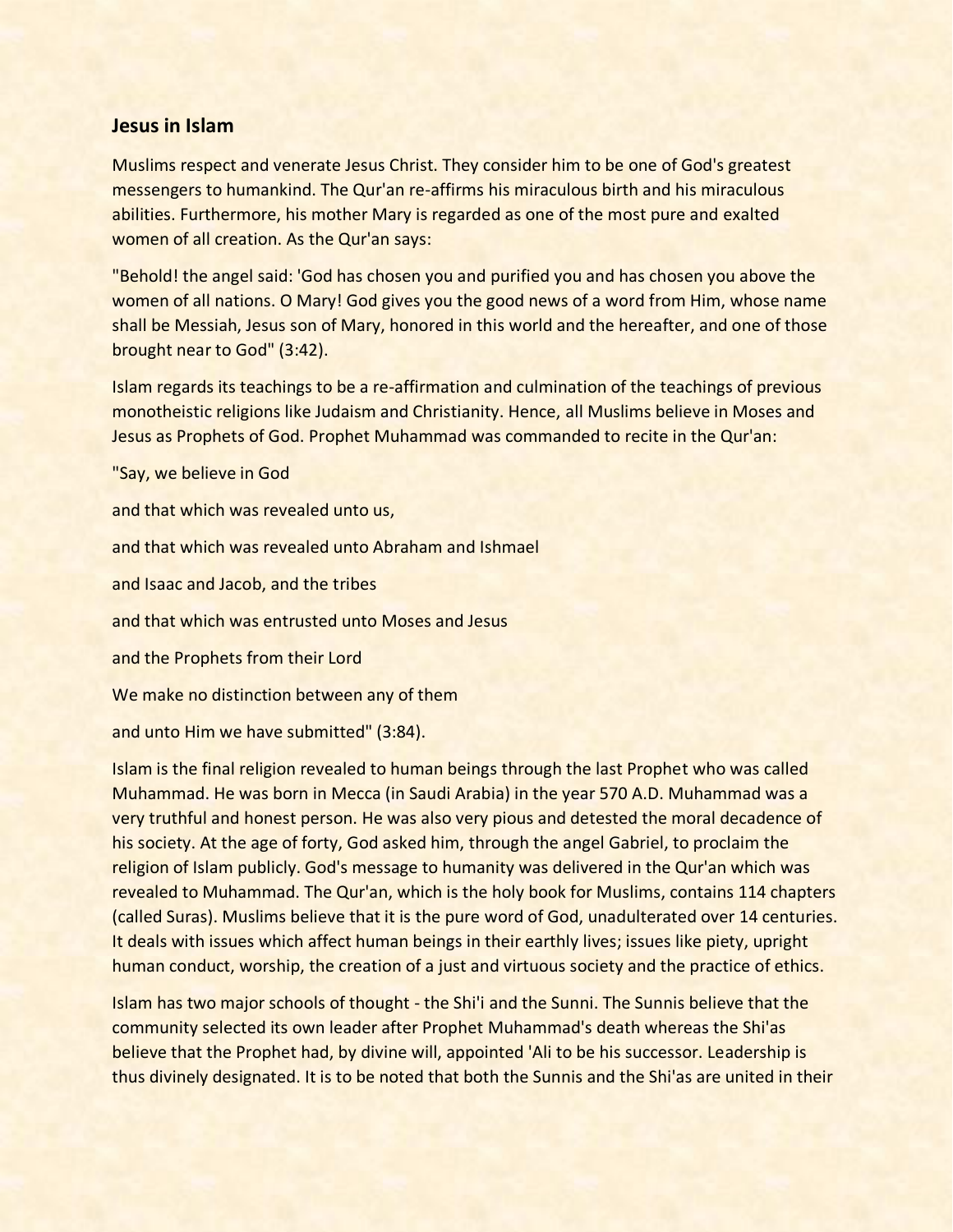## **Jesus in Islam**

Muslims respect and venerate Jesus Christ. They consider him to be one of God's greatest messengers to humankind. The Qur'an re-affirms his miraculous birth and his miraculous abilities. Furthermore, his mother Mary is regarded as one of the most pure and exalted women of all creation. As the Qur'an says:

"Behold! the angel said: 'God has chosen you and purified you and has chosen you above the women of all nations. O Mary! God gives you the good news of a word from Him, whose name shall be Messiah, Jesus son of Mary, honored in this world and the hereafter, and one of those brought near to God" (3:42).

Islam regards its teachings to be a re-affirmation and culmination of the teachings of previous monotheistic religions like Judaism and Christianity. Hence, all Muslims believe in Moses and Jesus as Prophets of God. Prophet Muhammad was commanded to recite in the Qur'an:

"Say, we believe in God

and that which was revealed unto us, and that which was revealed unto Abraham and Ishmael and Isaac and Jacob, and the tribes and that which was entrusted unto Moses and Jesus and the Prophets from their Lord We make no distinction between any of them

and unto Him we have submitted" (3:84).

Islam is the final religion revealed to human beings through the last Prophet who was called Muhammad. He was born in Mecca (in Saudi Arabia) in the year 570 A.D. Muhammad was a very truthful and honest person. He was also very pious and detested the moral decadence of his society. At the age of forty, God asked him, through the angel Gabriel, to proclaim the religion of Islam publicly. God's message to humanity was delivered in the Qur'an which was revealed to Muhammad. The Qur'an, which is the holy book for Muslims, contains 114 chapters (called Suras). Muslims believe that it is the pure word of God, unadulterated over 14 centuries. It deals with issues which affect human beings in their earthly lives; issues like piety, upright human conduct, worship, the creation of a just and virtuous society and the practice of ethics.

Islam has two major schools of thought - the Shi'i and the Sunni. The Sunnis believe that the community selected its own leader after Prophet Muhammad's death whereas the Shi'as believe that the Prophet had, by divine will, appointed 'Ali to be his successor. Leadership is thus divinely designated. It is to be noted that both the Sunnis and the Shi'as are united in their